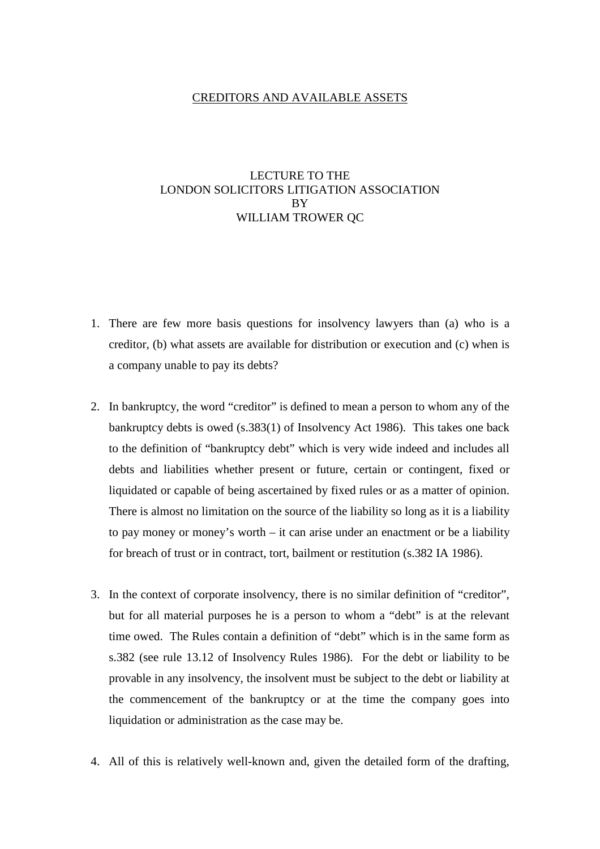## CREDITORS AND AVAILABLE ASSETS

## LECTURE TO THE LONDON SOLICITORS LITIGATION ASSOCIATION **BY** WILLIAM TROWER QC

- 1. There are few more basis questions for insolvency lawyers than (a) who is a creditor, (b) what assets are available for distribution or execution and (c) when is a company unable to pay its debts?
- 2. In bankruptcy, the word "creditor" is defined to mean a person to whom any of the bankruptcy debts is owed (s.383(1) of Insolvency Act 1986). This takes one back to the definition of "bankruptcy debt" which is very wide indeed and includes all debts and liabilities whether present or future, certain or contingent, fixed or liquidated or capable of being ascertained by fixed rules or as a matter of opinion. There is almost no limitation on the source of the liability so long as it is a liability to pay money or money's worth – it can arise under an enactment or be a liability for breach of trust or in contract, tort, bailment or restitution (s.382 IA 1986).
- 3. In the context of corporate insolvency, there is no similar definition of "creditor", but for all material purposes he is a person to whom a "debt" is at the relevant time owed. The Rules contain a definition of "debt" which is in the same form as s.382 (see rule 13.12 of Insolvency Rules 1986). For the debt or liability to be provable in any insolvency, the insolvent must be subject to the debt or liability at the commencement of the bankruptcy or at the time the company goes into liquidation or administration as the case may be.
- 4. All of this is relatively well-known and, given the detailed form of the drafting,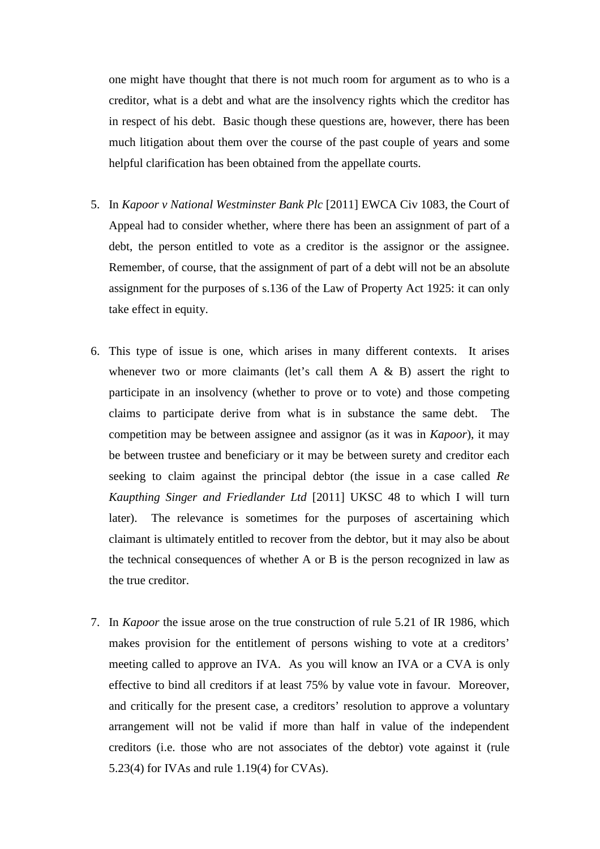one might have thought that there is not much room for argument as to who is a creditor, what is a debt and what are the insolvency rights which the creditor has in respect of his debt. Basic though these questions are, however, there has been much litigation about them over the course of the past couple of years and some helpful clarification has been obtained from the appellate courts.

- 5. In *Kapoor v National Westminster Bank Plc* [2011] EWCA Civ 1083, the Court of Appeal had to consider whether, where there has been an assignment of part of a debt, the person entitled to vote as a creditor is the assignor or the assignee. Remember, of course, that the assignment of part of a debt will not be an absolute assignment for the purposes of s.136 of the Law of Property Act 1925: it can only take effect in equity.
- 6. This type of issue is one, which arises in many different contexts. It arises whenever two or more claimants (let's call them  $A \& B$ ) assert the right to participate in an insolvency (whether to prove or to vote) and those competing claims to participate derive from what is in substance the same debt. The competition may be between assignee and assignor (as it was in *Kapoor*), it may be between trustee and beneficiary or it may be between surety and creditor each seeking to claim against the principal debtor (the issue in a case called *Re Kaupthing Singer and Friedlander Ltd* [2011] UKSC 48 to which I will turn later). The relevance is sometimes for the purposes of ascertaining which claimant is ultimately entitled to recover from the debtor, but it may also be about the technical consequences of whether A or B is the person recognized in law as the true creditor.
- 7. In *Kapoor* the issue arose on the true construction of rule 5.21 of IR 1986, which makes provision for the entitlement of persons wishing to vote at a creditors' meeting called to approve an IVA. As you will know an IVA or a CVA is only effective to bind all creditors if at least 75% by value vote in favour. Moreover, and critically for the present case, a creditors' resolution to approve a voluntary arrangement will not be valid if more than half in value of the independent creditors (i.e. those who are not associates of the debtor) vote against it (rule 5.23(4) for IVAs and rule 1.19(4) for CVAs).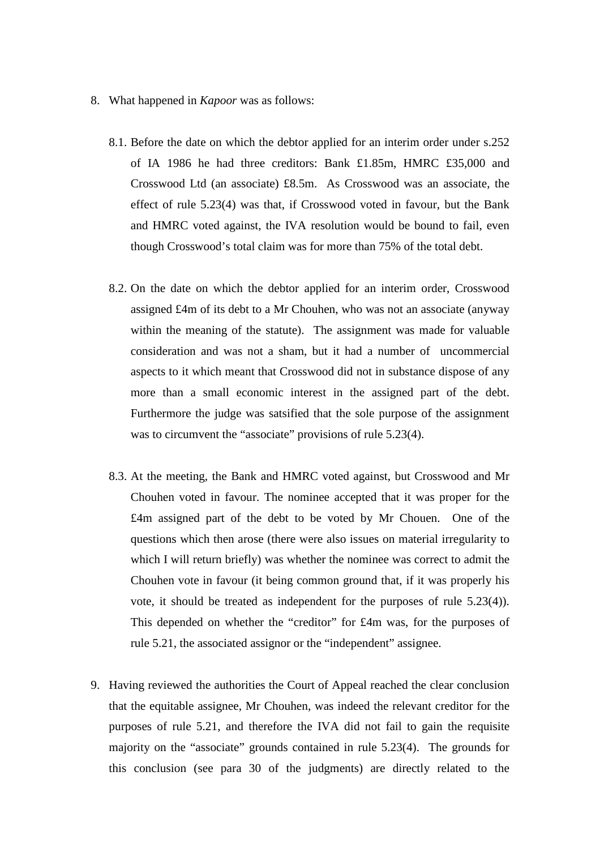- 8. What happened in *Kapoor* was as follows:
	- 8.1. Before the date on which the debtor applied for an interim order under s.252 of IA 1986 he had three creditors: Bank £1.85m, HMRC £35,000 and Crosswood Ltd (an associate) £8.5m. As Crosswood was an associate, the effect of rule 5.23(4) was that, if Crosswood voted in favour, but the Bank and HMRC voted against, the IVA resolution would be bound to fail, even though Crosswood's total claim was for more than 75% of the total debt.
	- 8.2. On the date on which the debtor applied for an interim order, Crosswood assigned £4m of its debt to a Mr Chouhen, who was not an associate (anyway within the meaning of the statute). The assignment was made for valuable consideration and was not a sham, but it had a number of uncommercial aspects to it which meant that Crosswood did not in substance dispose of any more than a small economic interest in the assigned part of the debt. Furthermore the judge was satsified that the sole purpose of the assignment was to circumvent the "associate" provisions of rule 5.23(4).
	- 8.3. At the meeting, the Bank and HMRC voted against, but Crosswood and Mr Chouhen voted in favour. The nominee accepted that it was proper for the £4m assigned part of the debt to be voted by Mr Chouen. One of the questions which then arose (there were also issues on material irregularity to which I will return briefly) was whether the nominee was correct to admit the Chouhen vote in favour (it being common ground that, if it was properly his vote, it should be treated as independent for the purposes of rule 5.23(4)). This depended on whether the "creditor" for £4m was, for the purposes of rule 5.21, the associated assignor or the "independent" assignee.
- 9. Having reviewed the authorities the Court of Appeal reached the clear conclusion that the equitable assignee, Mr Chouhen, was indeed the relevant creditor for the purposes of rule 5.21, and therefore the IVA did not fail to gain the requisite majority on the "associate" grounds contained in rule 5.23(4). The grounds for this conclusion (see para 30 of the judgments) are directly related to the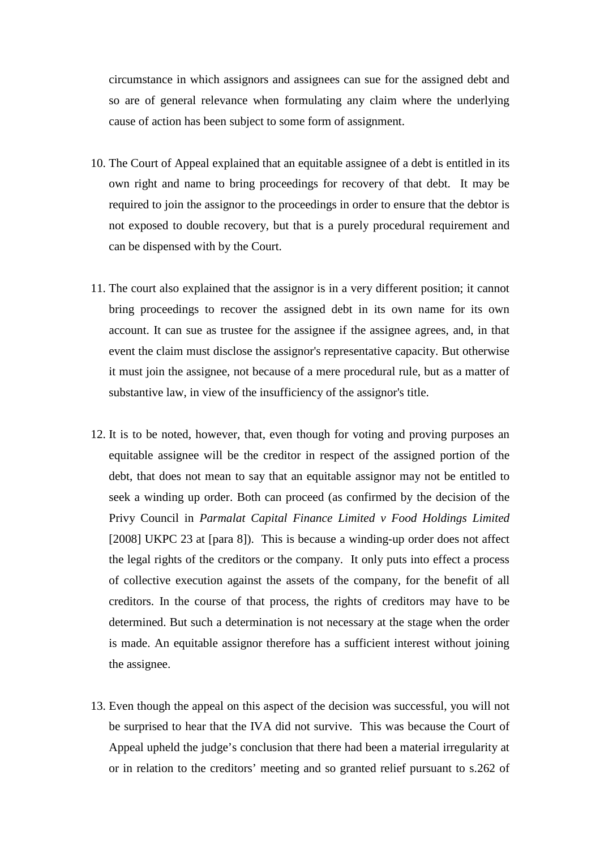circumstance in which assignors and assignees can sue for the assigned debt and so are of general relevance when formulating any claim where the underlying cause of action has been subject to some form of assignment.

- 10. The Court of Appeal explained that an equitable assignee of a debt is entitled in its own right and name to bring proceedings for recovery of that debt. It may be required to join the assignor to the proceedings in order to ensure that the debtor is not exposed to double recovery, but that is a purely procedural requirement and can be dispensed with by the Court.
- 11. The court also explained that the assignor is in a very different position; it cannot bring proceedings to recover the assigned debt in its own name for its own account. It can sue as trustee for the assignee if the assignee agrees, and, in that event the claim must disclose the assignor's representative capacity. But otherwise it must join the assignee, not because of a mere procedural rule, but as a matter of substantive law, in view of the insufficiency of the assignor's title.
- 12. It is to be noted, however, that, even though for voting and proving purposes an equitable assignee will be the creditor in respect of the assigned portion of the debt, that does not mean to say that an equitable assignor may not be entitled to seek a winding up order. Both can proceed (as confirmed by the decision of the Privy Council in *Parmalat Capital Finance Limited v Food Holdings Limited* [2008] UKPC 23 at [para 8]). This is because a winding-up order does not affect the legal rights of the creditors or the company. It only puts into effect a process of collective execution against the assets of the company, for the benefit of all creditors. In the course of that process, the rights of creditors may have to be determined. But such a determination is not necessary at the stage when the order is made. An equitable assignor therefore has a sufficient interest without joining the assignee.
- 13. Even though the appeal on this aspect of the decision was successful, you will not be surprised to hear that the IVA did not survive. This was because the Court of Appeal upheld the judge's conclusion that there had been a material irregularity at or in relation to the creditors' meeting and so granted relief pursuant to s.262 of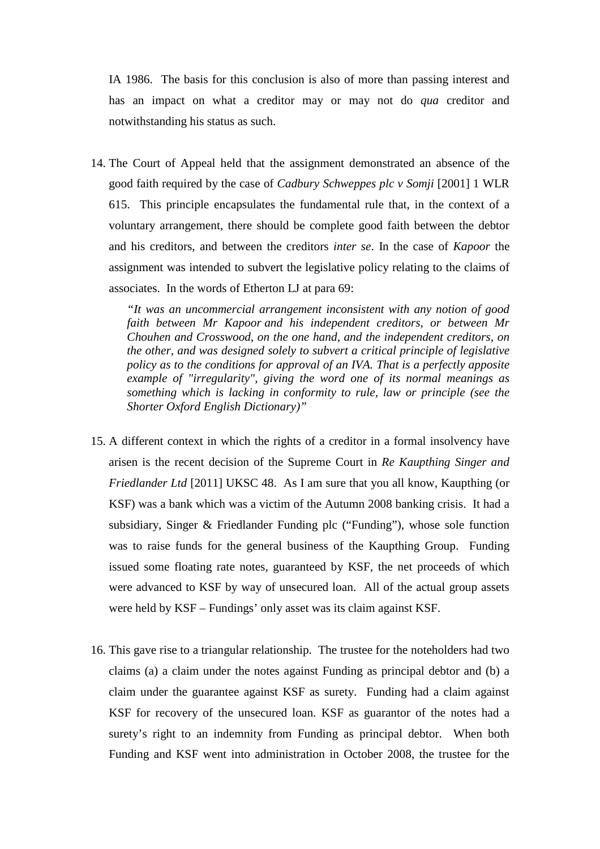IA 1986. The basis for this conclusion is also of more than passing interest and has an impact on what a creditor may or may not do *qua* creditor and notwithstanding his status as such.

14. The Court of Appeal held that the assignment demonstrated an absence of the good faith required by the case of *Cadbury Schweppes plc v Somji* [2001] 1 WLR 615. This principle encapsulates the fundamental rule that, in the context of a voluntary arrangement, there should be complete good faith between the debtor and his creditors, and between the creditors *inter se*. In the case of *Kapoor* the assignment was intended to subvert the legislative policy relating to the claims of associates. In the words of Etherton LJ at para 69:

*"It was an uncommercial arrangement inconsistent with any notion of good faith between Mr Kapoor and his independent creditors, or between Mr Chouhen and Crosswood, on the one hand, and the independent creditors, on the other, and was designed solely to subvert a critical principle of legislative policy as to the conditions for approval of an IVA. That is a perfectly apposite example of "irregularity", giving the word one of its normal meanings as something which is lacking in conformity to rule, law or principle (see the Shorter Oxford English Dictionary)"*

- 15. A different context in which the rights of a creditor in a formal insolvency have arisen is the recent decision of the Supreme Court in *Re Kaupthing Singer and Friedlander Ltd* [2011] UKSC 48. As I am sure that you all know, Kaupthing (or KSF) was a bank which was a victim of the Autumn 2008 banking crisis. It had a subsidiary, Singer & Friedlander Funding plc ("Funding"), whose sole function was to raise funds for the general business of the Kaupthing Group. Funding issued some floating rate notes, guaranteed by KSF, the net proceeds of which were advanced to KSF by way of unsecured loan. All of the actual group assets were held by KSF – Fundings' only asset was its claim against KSF.
- 16. This gave rise to a triangular relationship. The trustee for the noteholders had two claims (a) a claim under the notes against Funding as principal debtor and (b) a claim under the guarantee against KSF as surety. Funding had a claim against KSF for recovery of the unsecured loan. KSF as guarantor of the notes had a surety's right to an indemnity from Funding as principal debtor. When both Funding and KSF went into administration in October 2008, the trustee for the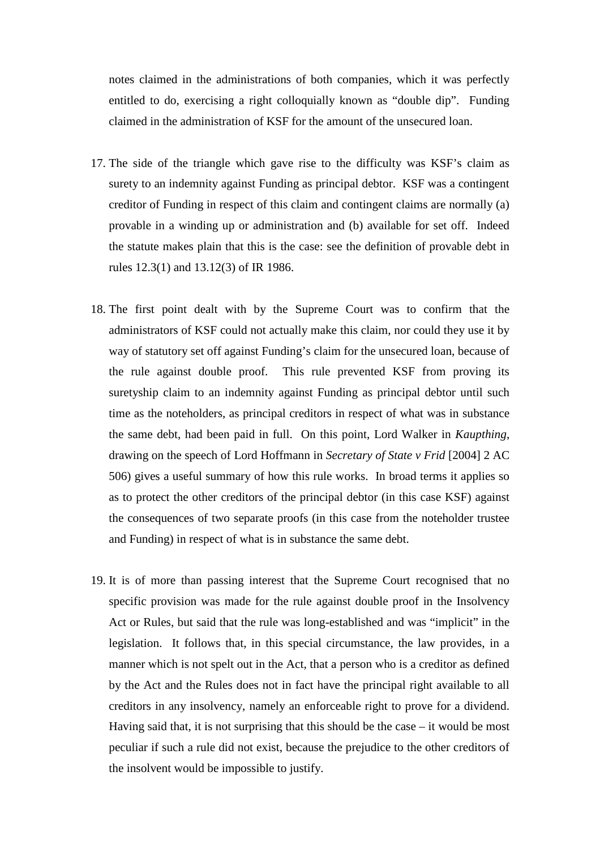notes claimed in the administrations of both companies, which it was perfectly entitled to do, exercising a right colloquially known as "double dip". Funding claimed in the administration of KSF for the amount of the unsecured loan.

- 17. The side of the triangle which gave rise to the difficulty was KSF's claim as surety to an indemnity against Funding as principal debtor. KSF was a contingent creditor of Funding in respect of this claim and contingent claims are normally (a) provable in a winding up or administration and (b) available for set off. Indeed the statute makes plain that this is the case: see the definition of provable debt in rules 12.3(1) and 13.12(3) of IR 1986.
- 18. The first point dealt with by the Supreme Court was to confirm that the administrators of KSF could not actually make this claim, nor could they use it by way of statutory set off against Funding's claim for the unsecured loan, because of the rule against double proof. This rule prevented KSF from proving its suretyship claim to an indemnity against Funding as principal debtor until such time as the noteholders, as principal creditors in respect of what was in substance the same debt, had been paid in full. On this point, Lord Walker in *Kaupthing*, drawing on the speech of Lord Hoffmann in *Secretary of State v Frid* [2004] 2 AC 506) gives a useful summary of how this rule works. In broad terms it applies so as to protect the other creditors of the principal debtor (in this case KSF) against the consequences of two separate proofs (in this case from the noteholder trustee and Funding) in respect of what is in substance the same debt.
- 19. It is of more than passing interest that the Supreme Court recognised that no specific provision was made for the rule against double proof in the Insolvency Act or Rules, but said that the rule was long-established and was "implicit" in the legislation. It follows that, in this special circumstance, the law provides, in a manner which is not spelt out in the Act, that a person who is a creditor as defined by the Act and the Rules does not in fact have the principal right available to all creditors in any insolvency, namely an enforceable right to prove for a dividend. Having said that, it is not surprising that this should be the case  $-$  it would be most peculiar if such a rule did not exist, because the prejudice to the other creditors of the insolvent would be impossible to justify.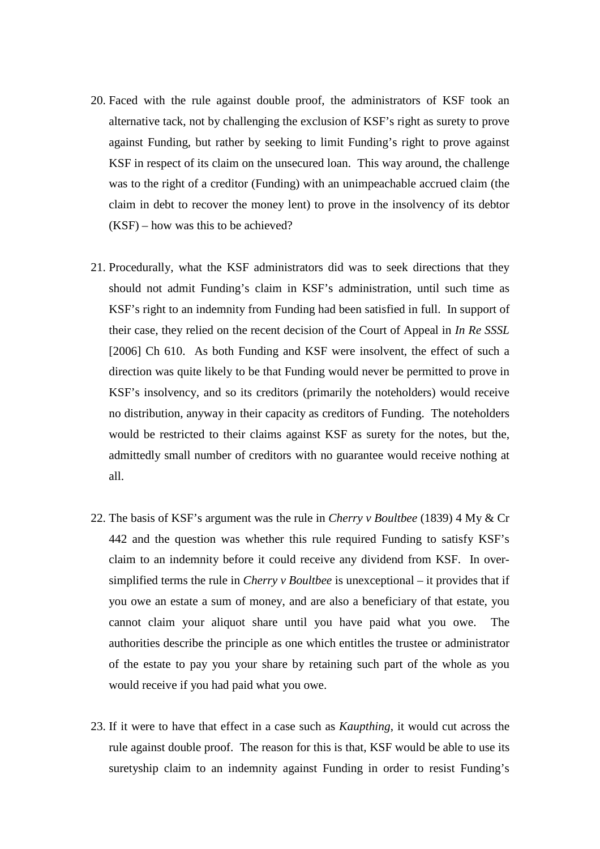- 20. Faced with the rule against double proof, the administrators of KSF took an alternative tack, not by challenging the exclusion of KSF's right as surety to prove against Funding, but rather by seeking to limit Funding's right to prove against KSF in respect of its claim on the unsecured loan. This way around, the challenge was to the right of a creditor (Funding) with an unimpeachable accrued claim (the claim in debt to recover the money lent) to prove in the insolvency of its debtor (KSF) – how was this to be achieved?
- 21. Procedurally, what the KSF administrators did was to seek directions that they should not admit Funding's claim in KSF's administration, until such time as KSF's right to an indemnity from Funding had been satisfied in full. In support of their case, they relied on the recent decision of the Court of Appeal in *In Re SSSL* [2006] Ch 610. As both Funding and KSF were insolvent, the effect of such a direction was quite likely to be that Funding would never be permitted to prove in KSF's insolvency, and so its creditors (primarily the noteholders) would receive no distribution, anyway in their capacity as creditors of Funding. The noteholders would be restricted to their claims against KSF as surety for the notes, but the, admittedly small number of creditors with no guarantee would receive nothing at all.
- 22. The basis of KSF's argument was the rule in *Cherry v Boultbee* (1839) 4 My & Cr 442 and the question was whether this rule required Funding to satisfy KSF's claim to an indemnity before it could receive any dividend from KSF. In oversimplified terms the rule in *Cherry v Boultbee* is unexceptional – it provides that if you owe an estate a sum of money, and are also a beneficiary of that estate, you cannot claim your aliquot share until you have paid what you owe. The authorities describe the principle as one which entitles the trustee or administrator of the estate to pay you your share by retaining such part of the whole as you would receive if you had paid what you owe.
- 23. If it were to have that effect in a case such as *Kaupthing*, it would cut across the rule against double proof. The reason for this is that, KSF would be able to use its suretyship claim to an indemnity against Funding in order to resist Funding's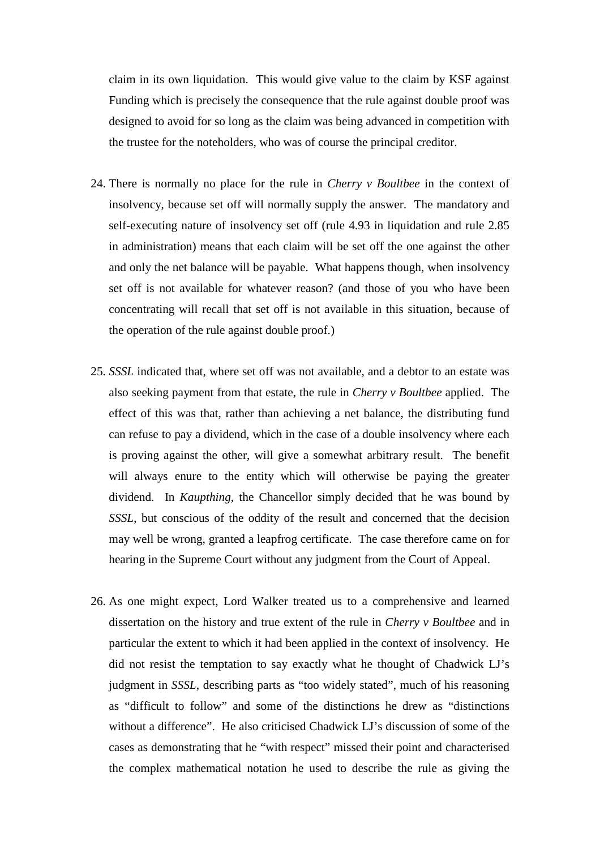claim in its own liquidation. This would give value to the claim by KSF against Funding which is precisely the consequence that the rule against double proof was designed to avoid for so long as the claim was being advanced in competition with the trustee for the noteholders, who was of course the principal creditor.

- 24. There is normally no place for the rule in *Cherry v Boultbee* in the context of insolvency, because set off will normally supply the answer. The mandatory and self-executing nature of insolvency set off (rule 4.93 in liquidation and rule 2.85 in administration) means that each claim will be set off the one against the other and only the net balance will be payable. What happens though, when insolvency set off is not available for whatever reason? (and those of you who have been concentrating will recall that set off is not available in this situation, because of the operation of the rule against double proof.)
- 25. *SSSL* indicated that, where set off was not available, and a debtor to an estate was also seeking payment from that estate, the rule in *Cherry v Boultbee* applied. The effect of this was that, rather than achieving a net balance, the distributing fund can refuse to pay a dividend, which in the case of a double insolvency where each is proving against the other, will give a somewhat arbitrary result. The benefit will always enure to the entity which will otherwise be paying the greater dividend. In *Kaupthing*, the Chancellor simply decided that he was bound by *SSSL*, but conscious of the oddity of the result and concerned that the decision may well be wrong, granted a leapfrog certificate. The case therefore came on for hearing in the Supreme Court without any judgment from the Court of Appeal.
- 26. As one might expect, Lord Walker treated us to a comprehensive and learned dissertation on the history and true extent of the rule in *Cherry v Boultbee* and in particular the extent to which it had been applied in the context of insolvency. He did not resist the temptation to say exactly what he thought of Chadwick LJ's judgment in *SSSL*, describing parts as "too widely stated", much of his reasoning as "difficult to follow" and some of the distinctions he drew as "distinctions without a difference". He also criticised Chadwick LJ's discussion of some of the cases as demonstrating that he "with respect" missed their point and characterised the complex mathematical notation he used to describe the rule as giving the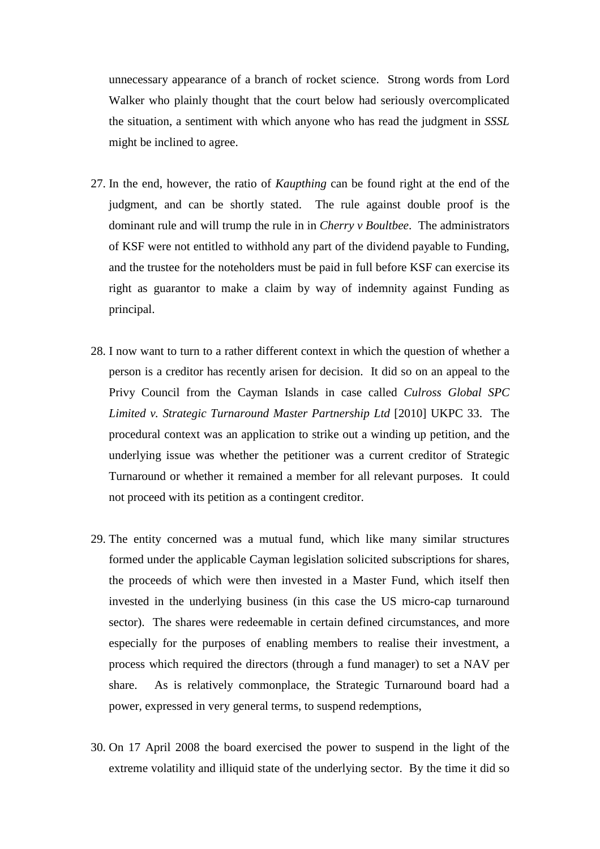unnecessary appearance of a branch of rocket science. Strong words from Lord Walker who plainly thought that the court below had seriously overcomplicated the situation, a sentiment with which anyone who has read the judgment in *SSSL* might be inclined to agree.

- 27. In the end, however, the ratio of *Kaupthing* can be found right at the end of the judgment, and can be shortly stated. The rule against double proof is the dominant rule and will trump the rule in in *Cherry v Boultbee*. The administrators of KSF were not entitled to withhold any part of the dividend payable to Funding, and the trustee for the noteholders must be paid in full before KSF can exercise its right as guarantor to make a claim by way of indemnity against Funding as principal.
- 28. I now want to turn to a rather different context in which the question of whether a person is a creditor has recently arisen for decision. It did so on an appeal to the Privy Council from the Cayman Islands in case called *Culross Global SPC Limited v. Strategic Turnaround Master Partnership Ltd* [2010] UKPC 33. The procedural context was an application to strike out a winding up petition, and the underlying issue was whether the petitioner was a current creditor of Strategic Turnaround or whether it remained a member for all relevant purposes. It could not proceed with its petition as a contingent creditor.
- 29. The entity concerned was a mutual fund, which like many similar structures formed under the applicable Cayman legislation solicited subscriptions for shares, the proceeds of which were then invested in a Master Fund, which itself then invested in the underlying business (in this case the US micro-cap turnaround sector). The shares were redeemable in certain defined circumstances, and more especially for the purposes of enabling members to realise their investment, a process which required the directors (through a fund manager) to set a NAV per share. As is relatively commonplace, the Strategic Turnaround board had a power, expressed in very general terms, to suspend redemptions,
- 30. On 17 April 2008 the board exercised the power to suspend in the light of the extreme volatility and illiquid state of the underlying sector. By the time it did so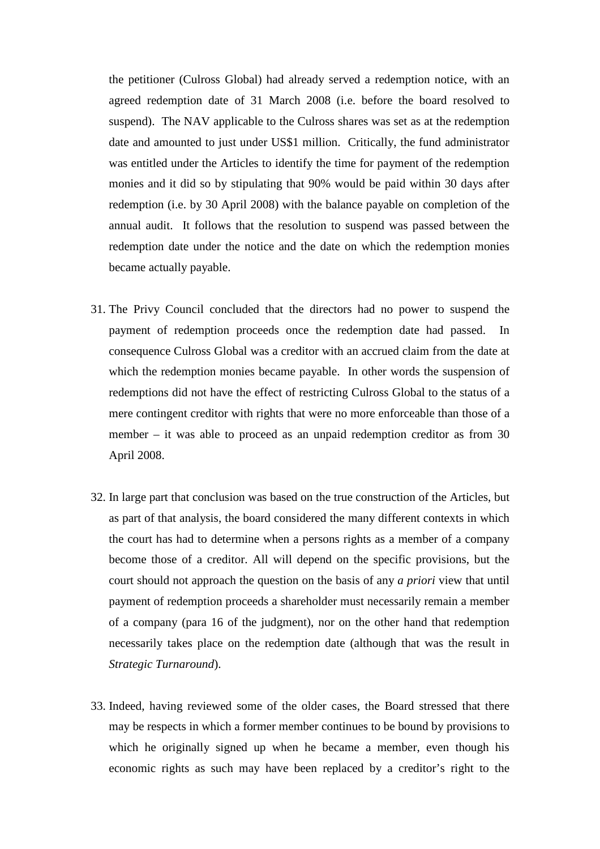the petitioner (Culross Global) had already served a redemption notice, with an agreed redemption date of 31 March 2008 (i.e. before the board resolved to suspend). The NAV applicable to the Culross shares was set as at the redemption date and amounted to just under US\$1 million. Critically, the fund administrator was entitled under the Articles to identify the time for payment of the redemption monies and it did so by stipulating that 90% would be paid within 30 days after redemption (i.e. by 30 April 2008) with the balance payable on completion of the annual audit. It follows that the resolution to suspend was passed between the redemption date under the notice and the date on which the redemption monies became actually payable.

- 31. The Privy Council concluded that the directors had no power to suspend the payment of redemption proceeds once the redemption date had passed. In consequence Culross Global was a creditor with an accrued claim from the date at which the redemption monies became payable. In other words the suspension of redemptions did not have the effect of restricting Culross Global to the status of a mere contingent creditor with rights that were no more enforceable than those of a member – it was able to proceed as an unpaid redemption creditor as from 30 April 2008.
- 32. In large part that conclusion was based on the true construction of the Articles, but as part of that analysis, the board considered the many different contexts in which the court has had to determine when a persons rights as a member of a company become those of a creditor. All will depend on the specific provisions, but the court should not approach the question on the basis of any *a priori* view that until payment of redemption proceeds a shareholder must necessarily remain a member of a company (para 16 of the judgment), nor on the other hand that redemption necessarily takes place on the redemption date (although that was the result in *Strategic Turnaround*).
- 33. Indeed, having reviewed some of the older cases, the Board stressed that there may be respects in which a former member continues to be bound by provisions to which he originally signed up when he became a member, even though his economic rights as such may have been replaced by a creditor's right to the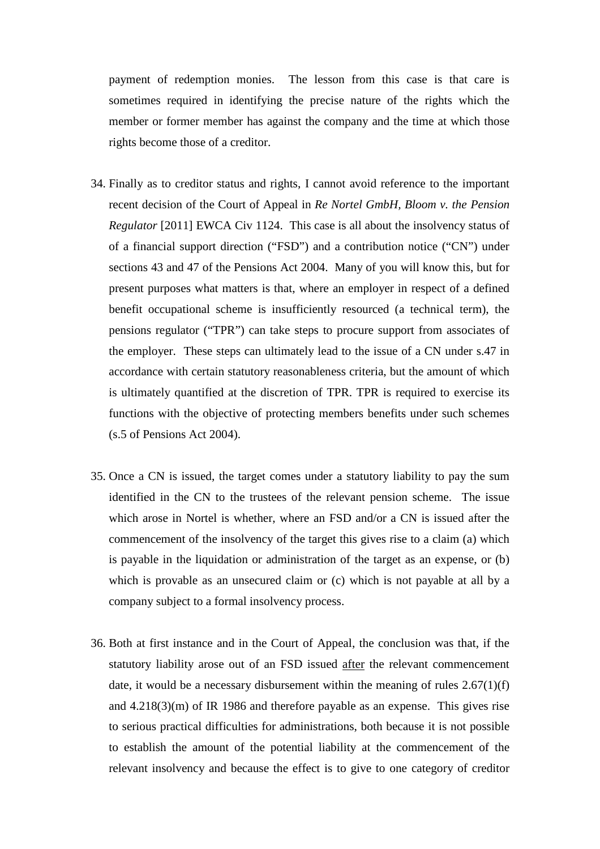payment of redemption monies. The lesson from this case is that care is sometimes required in identifying the precise nature of the rights which the member or former member has against the company and the time at which those rights become those of a creditor.

- 34. Finally as to creditor status and rights, I cannot avoid reference to the important recent decision of the Court of Appeal in *Re Nortel GmbH, Bloom v. the Pension Regulator* [2011] EWCA Civ 1124. This case is all about the insolvency status of of a financial support direction ("FSD") and a contribution notice ("CN") under sections 43 and 47 of the Pensions Act 2004. Many of you will know this, but for present purposes what matters is that, where an employer in respect of a defined benefit occupational scheme is insufficiently resourced (a technical term), the pensions regulator ("TPR") can take steps to procure support from associates of the employer. These steps can ultimately lead to the issue of a CN under s.47 in accordance with certain statutory reasonableness criteria, but the amount of which is ultimately quantified at the discretion of TPR. TPR is required to exercise its functions with the objective of protecting members benefits under such schemes (s.5 of Pensions Act 2004).
- 35. Once a CN is issued, the target comes under a statutory liability to pay the sum identified in the CN to the trustees of the relevant pension scheme. The issue which arose in Nortel is whether, where an FSD and/or a CN is issued after the commencement of the insolvency of the target this gives rise to a claim (a) which is payable in the liquidation or administration of the target as an expense, or (b) which is provable as an unsecured claim or (c) which is not payable at all by a company subject to a formal insolvency process.
- 36. Both at first instance and in the Court of Appeal, the conclusion was that, if the statutory liability arose out of an FSD issued after the relevant commencement date, it would be a necessary disbursement within the meaning of rules  $2.67(1)(f)$ and  $4.218(3)(m)$  of IR 1986 and therefore payable as an expense. This gives rise to serious practical difficulties for administrations, both because it is not possible to establish the amount of the potential liability at the commencement of the relevant insolvency and because the effect is to give to one category of creditor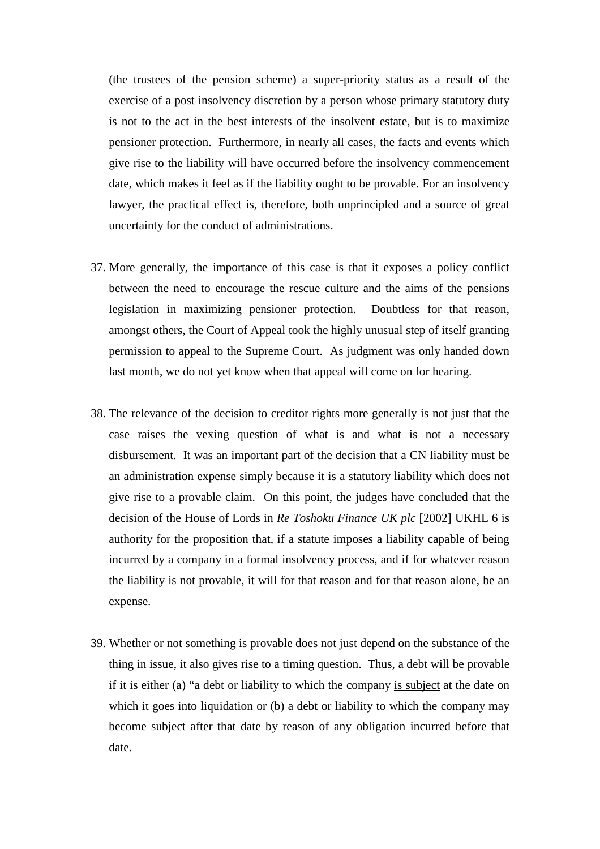(the trustees of the pension scheme) a super-priority status as a result of the exercise of a post insolvency discretion by a person whose primary statutory duty is not to the act in the best interests of the insolvent estate, but is to maximize pensioner protection. Furthermore, in nearly all cases, the facts and events which give rise to the liability will have occurred before the insolvency commencement date, which makes it feel as if the liability ought to be provable. For an insolvency lawyer, the practical effect is, therefore, both unprincipled and a source of great uncertainty for the conduct of administrations.

- 37. More generally, the importance of this case is that it exposes a policy conflict between the need to encourage the rescue culture and the aims of the pensions legislation in maximizing pensioner protection. Doubtless for that reason, amongst others, the Court of Appeal took the highly unusual step of itself granting permission to appeal to the Supreme Court. As judgment was only handed down last month, we do not yet know when that appeal will come on for hearing.
- 38. The relevance of the decision to creditor rights more generally is not just that the case raises the vexing question of what is and what is not a necessary disbursement. It was an important part of the decision that a CN liability must be an administration expense simply because it is a statutory liability which does not give rise to a provable claim. On this point, the judges have concluded that the decision of the House of Lords in *Re Toshoku Finance UK plc* [2002] UKHL 6 is authority for the proposition that, if a statute imposes a liability capable of being incurred by a company in a formal insolvency process, and if for whatever reason the liability is not provable, it will for that reason and for that reason alone, be an expense.
- 39. Whether or not something is provable does not just depend on the substance of the thing in issue, it also gives rise to a timing question. Thus, a debt will be provable if it is either (a) "a debt or liability to which the company is subject at the date on which it goes into liquidation or (b) a debt or liability to which the company may become subject after that date by reason of any obligation incurred before that date.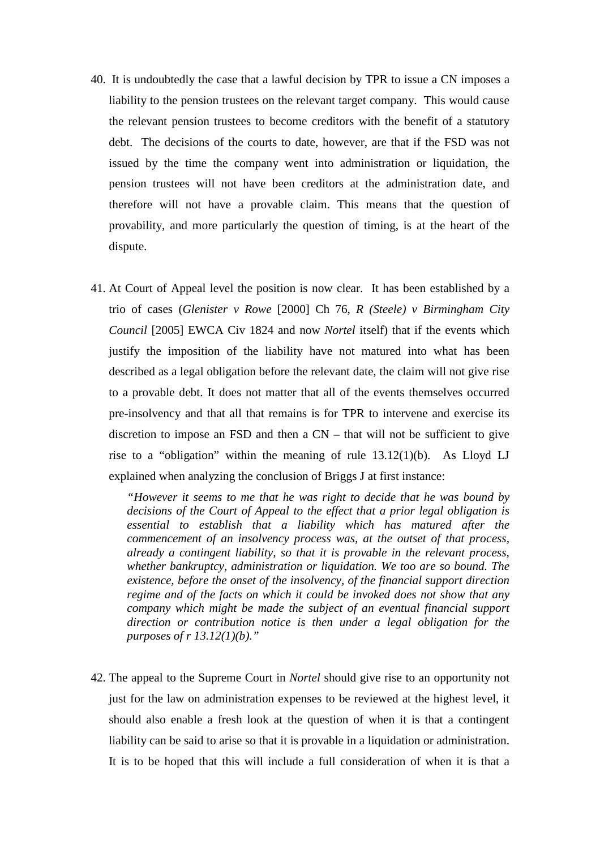- 40. It is undoubtedly the case that a lawful decision by TPR to issue a CN imposes a liability to the pension trustees on the relevant target company. This would cause the relevant pension trustees to become creditors with the benefit of a statutory debt. The decisions of the courts to date, however, are that if the FSD was not issued by the time the company went into administration or liquidation, the pension trustees will not have been creditors at the administration date, and therefore will not have a provable claim. This means that the question of provability, and more particularly the question of timing, is at the heart of the dispute.
- 41. At Court of Appeal level the position is now clear. It has been established by a trio of cases (*Glenister v Rowe* [2000] Ch 76, *R (Steele) v Birmingham City Council* [2005] EWCA Civ 1824 and now *Nortel* itself) that if the events which justify the imposition of the liability have not matured into what has been described as a legal obligation before the relevant date, the claim will not give rise to a provable debt. It does not matter that all of the events themselves occurred pre-insolvency and that all that remains is for TPR to intervene and exercise its discretion to impose an FSD and then a CN – that will not be sufficient to give rise to a "obligation" within the meaning of rule  $13.12(1)(b)$ . As Lloyd LJ explained when analyzing the conclusion of Briggs J at first instance:

*"However it seems to me that he was right to decide that he was bound by decisions of the Court of Appeal to the effect that a prior legal obligation is essential to establish that a liability which has matured after the commencement of an insolvency process was, at the outset of that process, already a contingent liability, so that it is provable in the relevant process, whether bankruptcy, administration or liquidation. We too are so bound. The existence, before the onset of the insolvency, of the financial support direction regime and of the facts on which it could be invoked does not show that any company which might be made the subject of an eventual financial support direction or contribution notice is then under a legal obligation for the purposes of r 13.12(1)(b)."*

42. The appeal to the Supreme Court in *Nortel* should give rise to an opportunity not just for the law on administration expenses to be reviewed at the highest level, it should also enable a fresh look at the question of when it is that a contingent liability can be said to arise so that it is provable in a liquidation or administration. It is to be hoped that this will include a full consideration of when it is that a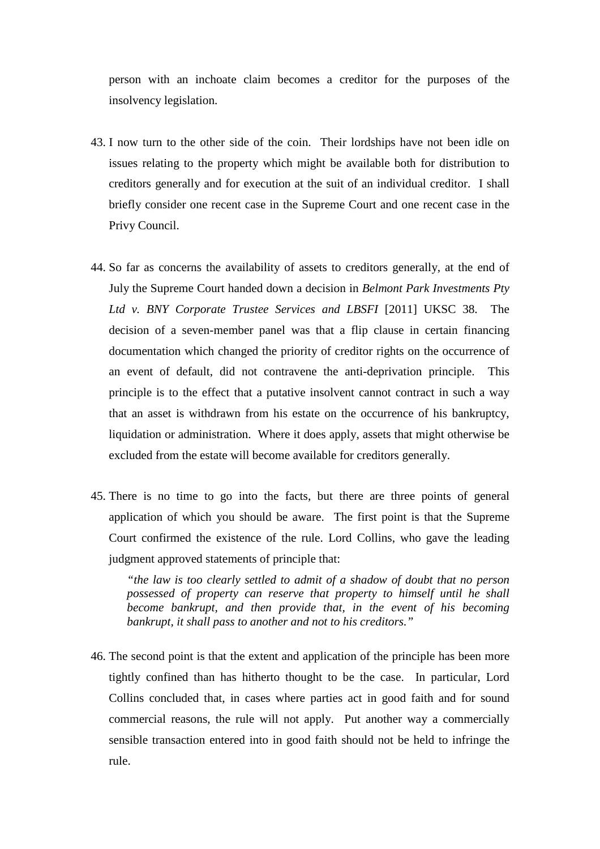person with an inchoate claim becomes a creditor for the purposes of the insolvency legislation.

- 43. I now turn to the other side of the coin. Their lordships have not been idle on issues relating to the property which might be available both for distribution to creditors generally and for execution at the suit of an individual creditor. I shall briefly consider one recent case in the Supreme Court and one recent case in the Privy Council.
- 44. So far as concerns the availability of assets to creditors generally, at the end of July the Supreme Court handed down a decision in *Belmont Park Investments Pty Ltd v. BNY Corporate Trustee Services and LBSFI* [2011] UKSC 38. The decision of a seven-member panel was that a flip clause in certain financing documentation which changed the priority of creditor rights on the occurrence of an event of default, did not contravene the anti-deprivation principle. This principle is to the effect that a putative insolvent cannot contract in such a way that an asset is withdrawn from his estate on the occurrence of his bankruptcy, liquidation or administration. Where it does apply, assets that might otherwise be excluded from the estate will become available for creditors generally.
- 45. There is no time to go into the facts, but there are three points of general application of which you should be aware. The first point is that the Supreme Court confirmed the existence of the rule. Lord Collins, who gave the leading judgment approved statements of principle that:

*"the law is too clearly settled to admit of a shadow of doubt that no person possessed of property can reserve that property to himself until he shall become bankrupt, and then provide that, in the event of his becoming bankrupt, it shall pass to another and not to his creditors."*

46. The second point is that the extent and application of the principle has been more tightly confined than has hitherto thought to be the case. In particular, Lord Collins concluded that, in cases where parties act in good faith and for sound commercial reasons, the rule will not apply. Put another way a commercially sensible transaction entered into in good faith should not be held to infringe the rule.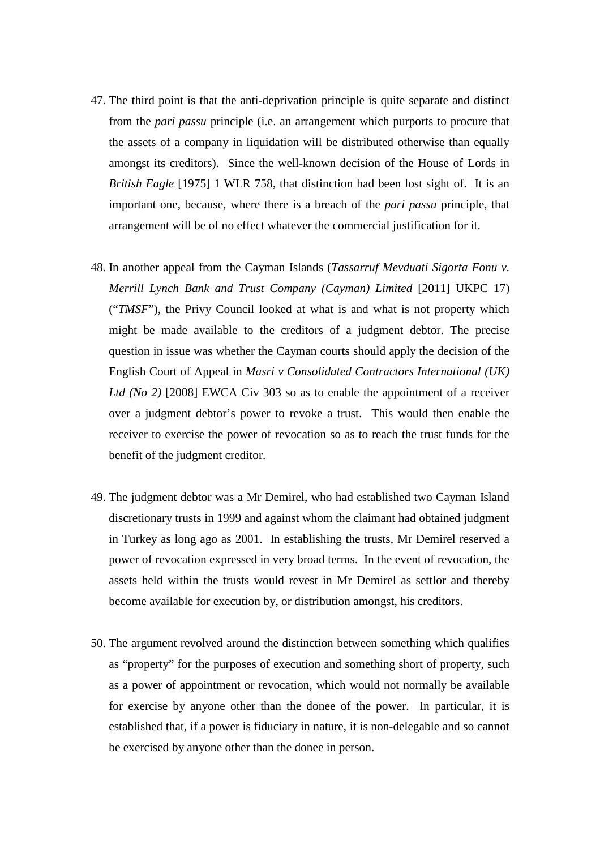- 47. The third point is that the anti-deprivation principle is quite separate and distinct from the *pari passu* principle (i.e. an arrangement which purports to procure that the assets of a company in liquidation will be distributed otherwise than equally amongst its creditors). Since the well-known decision of the House of Lords in *British Eagle* [1975] 1 WLR 758, that distinction had been lost sight of. It is an important one, because, where there is a breach of the *pari passu* principle, that arrangement will be of no effect whatever the commercial justification for it.
- 48. In another appeal from the Cayman Islands (*Tassarruf Mevduati Sigorta Fonu v. Merrill Lynch Bank and Trust Company (Cayman) Limited* [2011] UKPC 17) ("*TMSF*"), the Privy Council looked at what is and what is not property which might be made available to the creditors of a judgment debtor. The precise question in issue was whether the Cayman courts should apply the decision of the English Court of Appeal in *Masri v Consolidated Contractors International (UK) Ltd (No 2)* [2008] EWCA Civ 303 so as to enable the appointment of a receiver over a judgment debtor's power to revoke a trust. This would then enable the receiver to exercise the power of revocation so as to reach the trust funds for the benefit of the judgment creditor.
- 49. The judgment debtor was a Mr Demirel, who had established two Cayman Island discretionary trusts in 1999 and against whom the claimant had obtained judgment in Turkey as long ago as 2001. In establishing the trusts, Mr Demirel reserved a power of revocation expressed in very broad terms. In the event of revocation, the assets held within the trusts would revest in Mr Demirel as settlor and thereby become available for execution by, or distribution amongst, his creditors.
- 50. The argument revolved around the distinction between something which qualifies as "property" for the purposes of execution and something short of property, such as a power of appointment or revocation, which would not normally be available for exercise by anyone other than the donee of the power. In particular, it is established that, if a power is fiduciary in nature, it is non-delegable and so cannot be exercised by anyone other than the donee in person.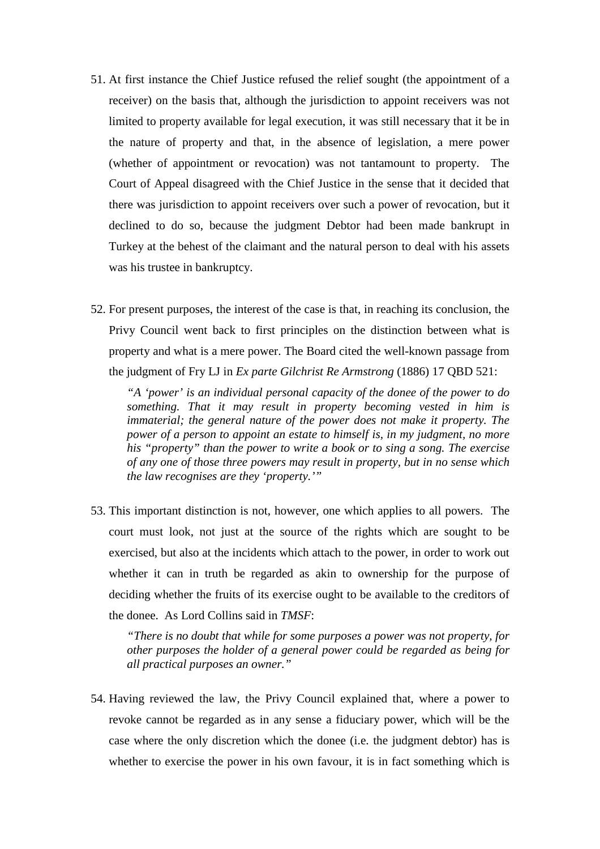- 51. At first instance the Chief Justice refused the relief sought (the appointment of a receiver) on the basis that, although the jurisdiction to appoint receivers was not limited to property available for legal execution, it was still necessary that it be in the nature of property and that, in the absence of legislation, a mere power (whether of appointment or revocation) was not tantamount to property. The Court of Appeal disagreed with the Chief Justice in the sense that it decided that there was jurisdiction to appoint receivers over such a power of revocation, but it declined to do so, because the judgment Debtor had been made bankrupt in Turkey at the behest of the claimant and the natural person to deal with his assets was his trustee in bankruptcy.
- 52. For present purposes, the interest of the case is that, in reaching its conclusion, the Privy Council went back to first principles on the distinction between what is property and what is a mere power. The Board cited the well-known passage from the judgment of Fry LJ in *Ex parte Gilchrist Re Armstrong* (1886) 17 QBD 521:

*"A 'power' is an individual personal capacity of the donee of the power to do something. That it may result in property becoming vested in him is immaterial; the general nature of the power does not make it property. The power of a person to appoint an estate to himself is, in my judgment, no more his "property" than the power to write a book or to sing a song. The exercise of any one of those three powers may result in property, but in no sense which the law recognises are they 'property.'"*

53. This important distinction is not, however, one which applies to all powers. The court must look, not just at the source of the rights which are sought to be exercised, but also at the incidents which attach to the power, in order to work out whether it can in truth be regarded as akin to ownership for the purpose of deciding whether the fruits of its exercise ought to be available to the creditors of the donee. As Lord Collins said in *TMSF*:

*"There is no doubt that while for some purposes a power was not property, for other purposes the holder of a general power could be regarded as being for all practical purposes an owner."*

54. Having reviewed the law, the Privy Council explained that, where a power to revoke cannot be regarded as in any sense a fiduciary power, which will be the case where the only discretion which the donee (i.e. the judgment debtor) has is whether to exercise the power in his own favour, it is in fact something which is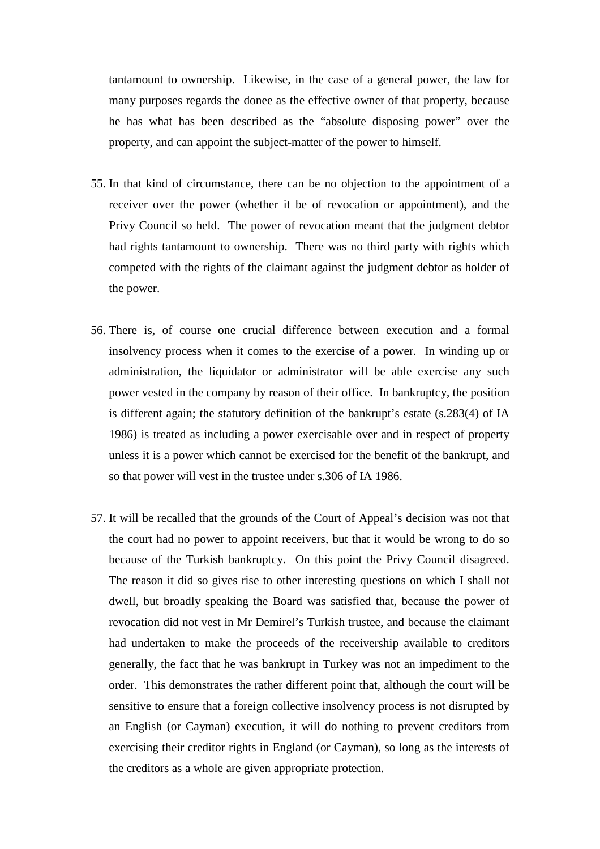tantamount to ownership. Likewise, in the case of a general power, the law for many purposes regards the donee as the effective owner of that property, because he has what has been described as the "absolute disposing power" over the property, and can appoint the subject-matter of the power to himself.

- 55. In that kind of circumstance, there can be no objection to the appointment of a receiver over the power (whether it be of revocation or appointment), and the Privy Council so held. The power of revocation meant that the judgment debtor had rights tantamount to ownership. There was no third party with rights which competed with the rights of the claimant against the judgment debtor as holder of the power.
- 56. There is, of course one crucial difference between execution and a formal insolvency process when it comes to the exercise of a power. In winding up or administration, the liquidator or administrator will be able exercise any such power vested in the company by reason of their office. In bankruptcy, the position is different again; the statutory definition of the bankrupt's estate (s.283(4) of IA 1986) is treated as including a power exercisable over and in respect of property unless it is a power which cannot be exercised for the benefit of the bankrupt, and so that power will vest in the trustee under s.306 of IA 1986.
- 57. It will be recalled that the grounds of the Court of Appeal's decision was not that the court had no power to appoint receivers, but that it would be wrong to do so because of the Turkish bankruptcy. On this point the Privy Council disagreed. The reason it did so gives rise to other interesting questions on which I shall not dwell, but broadly speaking the Board was satisfied that, because the power of revocation did not vest in Mr Demirel's Turkish trustee, and because the claimant had undertaken to make the proceeds of the receivership available to creditors generally, the fact that he was bankrupt in Turkey was not an impediment to the order. This demonstrates the rather different point that, although the court will be sensitive to ensure that a foreign collective insolvency process is not disrupted by an English (or Cayman) execution, it will do nothing to prevent creditors from exercising their creditor rights in England (or Cayman), so long as the interests of the creditors as a whole are given appropriate protection.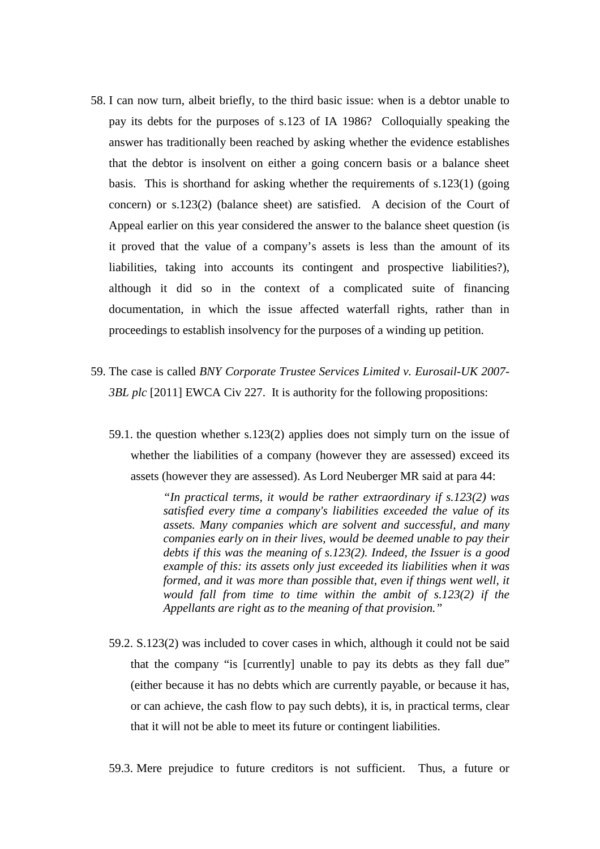- 58. I can now turn, albeit briefly, to the third basic issue: when is a debtor unable to pay its debts for the purposes of s.123 of IA 1986? Colloquially speaking the answer has traditionally been reached by asking whether the evidence establishes that the debtor is insolvent on either a going concern basis or a balance sheet basis. This is shorthand for asking whether the requirements of s.123(1) (going concern) or s.123(2) (balance sheet) are satisfied. A decision of the Court of Appeal earlier on this year considered the answer to the balance sheet question (is it proved that the value of a company's assets is less than the amount of its liabilities, taking into accounts its contingent and prospective liabilities?), although it did so in the context of a complicated suite of financing documentation, in which the issue affected waterfall rights, rather than in proceedings to establish insolvency for the purposes of a winding up petition.
- 59. The case is called *BNY Corporate Trustee Services Limited v. Eurosail-UK 2007- 3BL plc* [2011] EWCA Civ 227. It is authority for the following propositions:
	- 59.1. the question whether s.123(2) applies does not simply turn on the issue of whether the liabilities of a company (however they are assessed) exceed its assets (however they are assessed). As Lord Neuberger MR said at para 44:

*"In practical terms, it would be rather extraordinary if s.123(2) was satisfied every time a company's liabilities exceeded the value of its assets. Many companies which are solvent and successful, and many companies early on in their lives, would be deemed unable to pay their debts if this was the meaning of s.123(2). Indeed, the Issuer is a good example of this: its assets only just exceeded its liabilities when it was formed, and it was more than possible that, even if things went well, it would fall from time to time within the ambit of s.123(2) if the Appellants are right as to the meaning of that provision."*

59.2. S.123(2) was included to cover cases in which, although it could not be said that the company "is [currently] unable to pay its debts as they fall due" (either because it has no debts which are currently payable, or because it has, or can achieve, the cash flow to pay such debts), it is, in practical terms, clear that it will not be able to meet its future or contingent liabilities.

59.3. Mere prejudice to future creditors is not sufficient. Thus, a future or